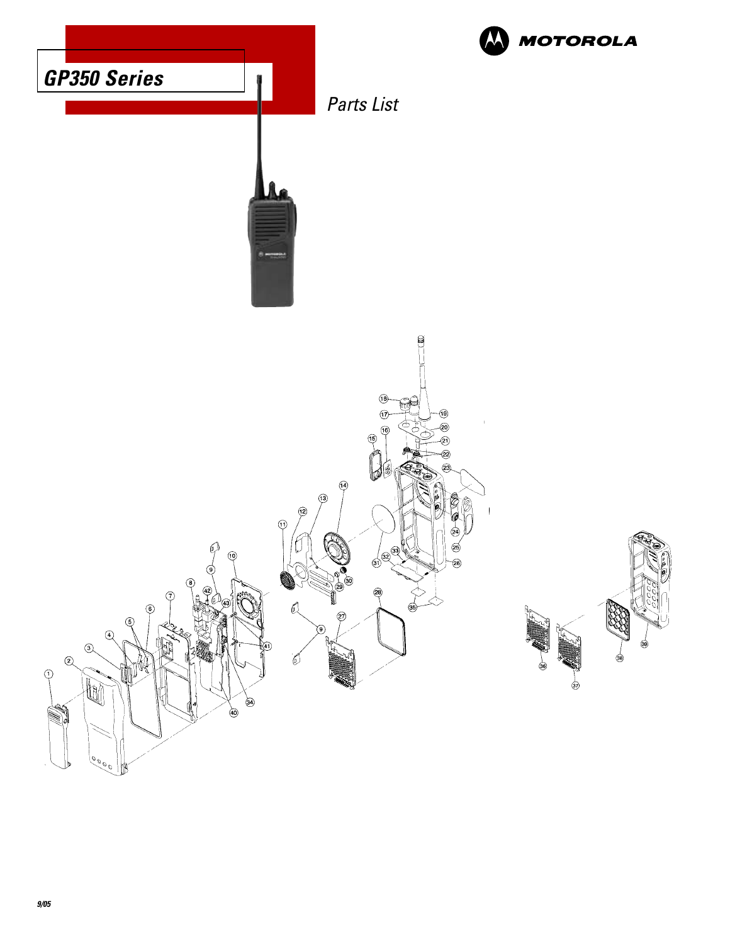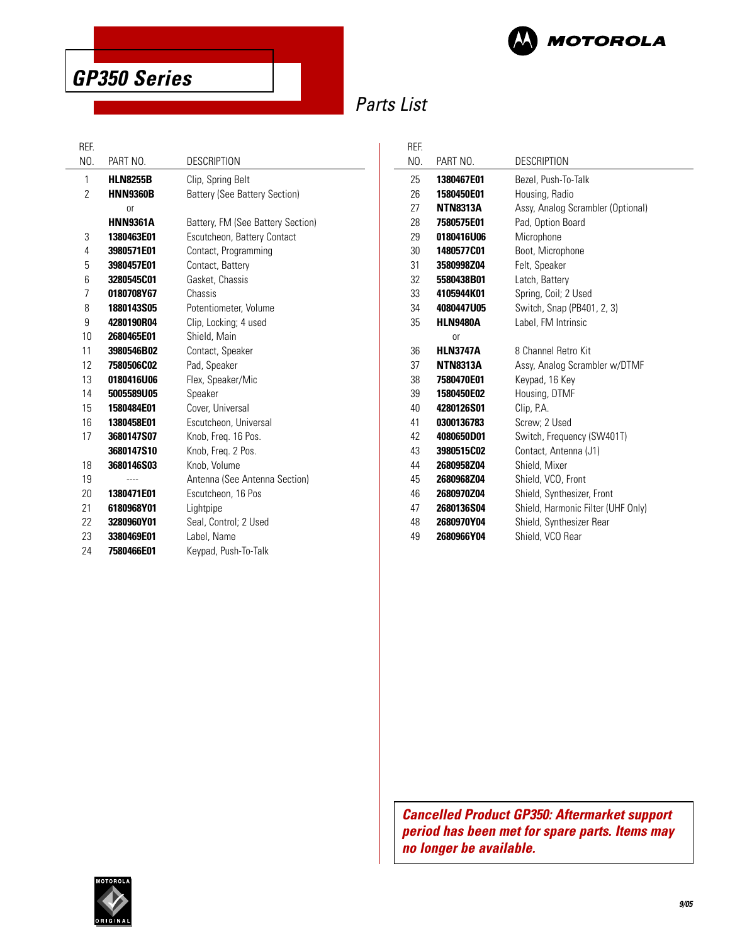

**GP350 Series**

# Parts List

REF.

#### REF.

| NO. | PART NO.          | <b>DESCRIPTION</b>                |
|-----|-------------------|-----------------------------------|
| 1   | <b>HLN8255B</b>   | Clip, Spring Belt                 |
| 2   | <b>HNN9360B</b>   | Battery (See Battery Section)     |
|     | 0r                |                                   |
|     | <b>HNN9361A</b>   | Battery, FM (See Battery Section) |
| 3   | 1380463E01        | Escutcheon, Battery Contact       |
| 4   | 3980571E01        | Contact, Programming              |
| 5   | 3980457E01        | Contact, Battery                  |
| 6   | 3280545C01        | Gasket, Chassis                   |
| 7   | 0180708Y67        | Chassis                           |
| 8   | 1880143S05        | Potentiometer, Volume             |
| 9   | 4280190R04        | Clip, Locking; 4 used             |
| 10  | 2680465E01        | Shield, Main                      |
| 11  | 3980546B02        | Contact, Speaker                  |
| 12  | 7580506C02        | Pad, Speaker                      |
| 13  | 0180416U06        | Flex, Speaker/Mic                 |
| 14  | 5005589U05        | Speaker                           |
| 15  | 1580484E01        | Cover, Universal                  |
| 16  | 1380458E01        | Escutcheon, Universal             |
| 17  | 3680147S07        | Knob, Freg. 16 Pos.               |
|     | <b>3680147S10</b> | Knob, Freq. 2 Pos.                |
| 18  | <b>3680146S03</b> | Knob, Volume                      |
| 19  |                   | Antenna (See Antenna Section)     |
| 20  | 1380471E01        | Escutcheon, 16 Pos                |
| 21  | 6180968Y01        | Lightpipe                         |
| 22  | 3280960Y01        | Seal, Control; 2 Used             |
| 23  | 3380469E01        | Label, Name                       |
| 24  | 7580466E01        | Keypad, Push-To-Talk              |

| NO. | PART NO.        | <b>DESCRIPTION</b>                 |
|-----|-----------------|------------------------------------|
| 25  | 1380467E01      | Bezel, Push-To-Talk                |
| 26  | 1580450E01      | Housing, Radio                     |
| 27  | <b>NTN8313A</b> | Assy, Analog Scrambler (Optional)  |
| 28  | 7580575E01      | Pad, Option Board                  |
| 29  | 0180416U06      | Microphone                         |
| 30  | 1480577C01      | Boot, Microphone                   |
| 31  | 3580998Z04      | Felt, Speaker                      |
| 32  | 5580438B01      | Latch, Battery                     |
| 33  | 4105944K01      | Spring, Coil; 2 Used               |
| 34  | 4080447U05      | Switch, Snap (PB401, 2, 3)         |
| 35  | <b>HLN9480A</b> | Label, FM Intrinsic                |
|     | 0r              |                                    |
| 36  | <b>HLN3747A</b> | 8 Channel Retro Kit                |
| 37  | <b>NTN8313A</b> | Assy, Analog Scrambler w/DTMF      |
| 38  | 7580470E01      | Keypad, 16 Key                     |
| 39  | 1580450E02      | Housing, DTMF                      |
| 40  | 4280126S01      | Clip, P.A.                         |
| 41  | 0300136783      | Screw; 2 Used                      |
| 42  | 4080650D01      | Switch, Frequency (SW401T)         |
| 43  | 3980515C02      | Contact, Antenna (J1)              |
| 44  | 2680958Z04      | Shield, Mixer                      |
| 45  | 2680968Z04      | Shield, VCO, Front                 |
| 46  | 2680970Z04      | Shield, Synthesizer, Front         |
| 47  | 2680136S04      | Shield, Harmonic Filter (UHF Only) |
| 48  | 2680970Y04      | Shield, Synthesizer Rear           |
| 49  | 2680966Y04      | Shield, VCO Rear                   |

**Cancelled Product GP350: Aftermarket support period has been met for spare parts. Items may no longer be available.**

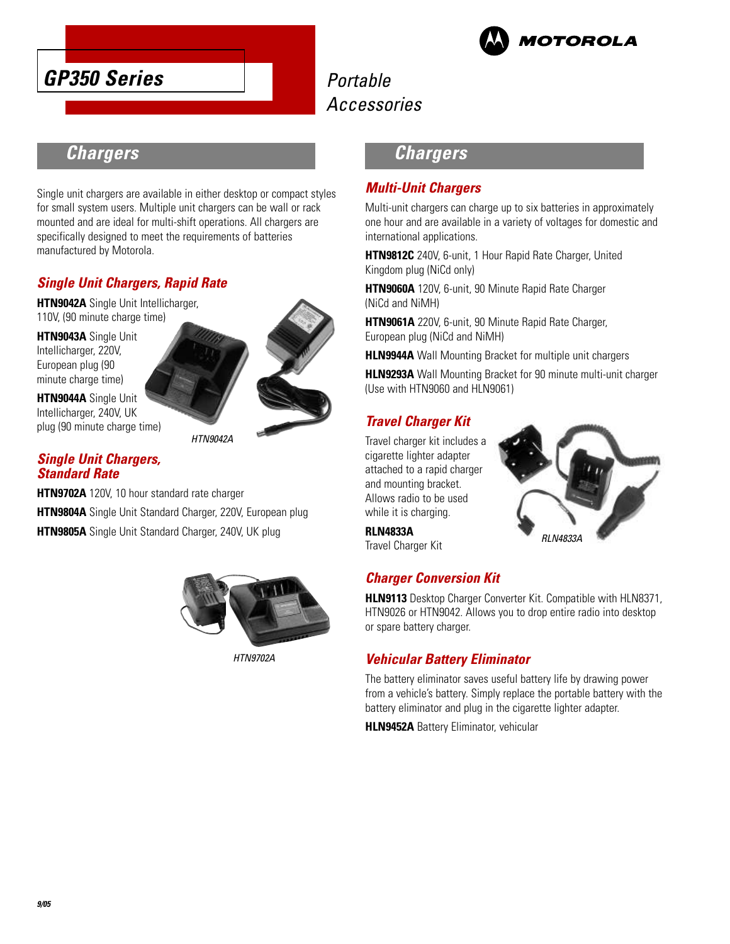



### **Chargers**

Single unit chargers are available in either desktop or compact styles for small system users. Multiple unit chargers can be wall or rack mounted and are ideal for multi-shift operations. All chargers are specifically designed to meet the requirements of batteries manufactured by Motorola.

#### **Single Unit Chargers, Rapid Rate**

**HTN9042A** Single Unit Intellicharger, 110V, (90 minute charge time)

**HTN9043A** Single Unit Intellicharger, 220V, European plug (90 minute charge time)

**HTN9044A** Single Unit Intellicharger, 240V, UK plug (90 minute charge time)

HTN9042A

#### **Single Unit Chargers, Standard Rate**

**HTN9702A** 120V, 10 hour standard rate charger **HTN9804A** Single Unit Standard Charger, 220V, European plug **HTN9805A** Single Unit Standard Charger, 240V, UK plug



HTN9702A

### **Chargers**

#### **Multi-Unit Chargers**

Multi-unit chargers can charge up to six batteries in approximately one hour and are available in a variety of voltages for domestic and international applications.

**HTN9812C** 240V, 6-unit, 1 Hour Rapid Rate Charger, United Kingdom plug (NiCd only)

**HTN9060A** 120V, 6-unit, 90 Minute Rapid Rate Charger (NiCd and NiMH)

**HTN9061A** 220V, 6-unit, 90 Minute Rapid Rate Charger, European plug (NiCd and NiMH)

**HLN9944A** Wall Mounting Bracket for multiple unit chargers

**HLN9293A** Wall Mounting Bracket for 90 minute multi-unit charger (Use with HTN9060 and HLN9061)

### **Travel Charger Kit**

Travel charger kit includes a cigarette lighter adapter attached to a rapid charger and mounting bracket. Allows radio to be used while it is charging.



**RLN4833A** Travel Charger Kit

#### **Charger Conversion Kit**

**HLN9113** Desktop Charger Converter Kit. Compatible with HLN8371, HTN9026 or HTN9042. Allows you to drop entire radio into desktop or spare battery charger.

#### **Vehicular Battery Eliminator**

The battery eliminator saves useful battery life by drawing power from a vehicle's battery. Simply replace the portable battery with the battery eliminator and plug in the cigarette lighter adapter.

**HLN9452A** Battery Eliminator, vehicular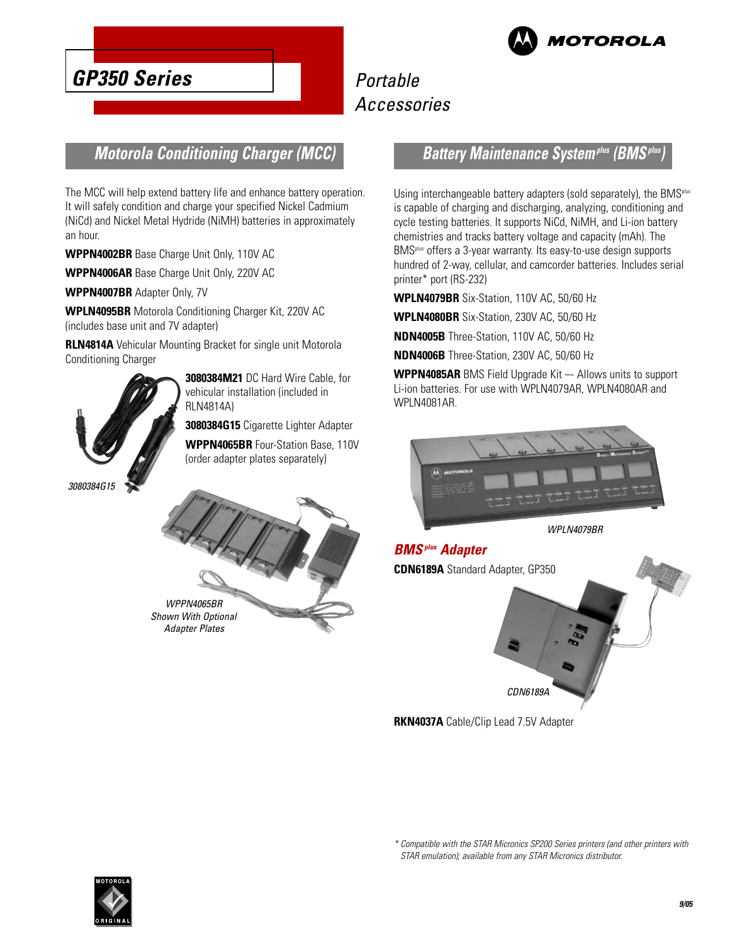

# **GP350 Series**

# Portable Accessories

# **Motorola Conditioning Charger (MCC)**

The MCC will help extend battery life and enhance battery operation. It will safely condition and charge your specified Nickel Cadmium (NiCd) and Nickel Metal Hydride (NiMH) batteries in approximately an hour.

**WPPN4002BR** Base Charge Unit Only, 110V AC

**WPPN4006AR** Base Charge Unit Only, 220V AC

**WPPN4007BR** Adapter Only, 7V

**WPLN4095BR** Motorola Conditioning Charger Kit, 220V AC (includes base unit and 7V adapter)

**RLN4814A** Vehicular Mounting Bracket for single unit Motorola Conditioning Charger



**3080384M21** DC Hard Wire Cable, for vehicular installation (included in RLN4814A)

**3080384G15** Cigarette Lighter Adapter **WPPN4065BR** Four-Station Base, 110V (order adapter plates separately)



#### **Battery Maintenance Systemplus (BMSplus)**

Using interchangeable battery adapters (sold separately), the BMS<sup>plus</sup> is capable of charging and discharging, analyzing, conditioning and cycle testing batteries. It supports NiCd, NiMH, and Li-ion battery chemistries and tracks battery voltage and capacity (mAh). The BMSplus offers a 3-year warranty. Its easy-to-use design supports hundred of 2-way, cellular, and camcorder batteries. Includes serial printer\* port (RS-232)

**WPLN4079BR** Six-Station, 110V AC, 50/60 Hz

**WPLN4080BR** Six-Station, 230V AC, 50/60 Hz

**NDN4005B** Three-Station, 110V AC, 50/60 Hz

**NDN4006B** Three-Station, 230V AC, 50/60 Hz

**WPPN4085AR** BMS Field Upgrade Kit –- Allows units to support Li-ion batteries. For use with WPLN4079AR, WPLN4080AR and WPI N4081AR



WPLN4079BR



**RKN4037A** Cable/Clip Lead 7.5V Adapter

\* Compatible with the STAR Micronics SP200 Series printers (and other printers with STAR emulation); available from any STAR Micronics distributor.

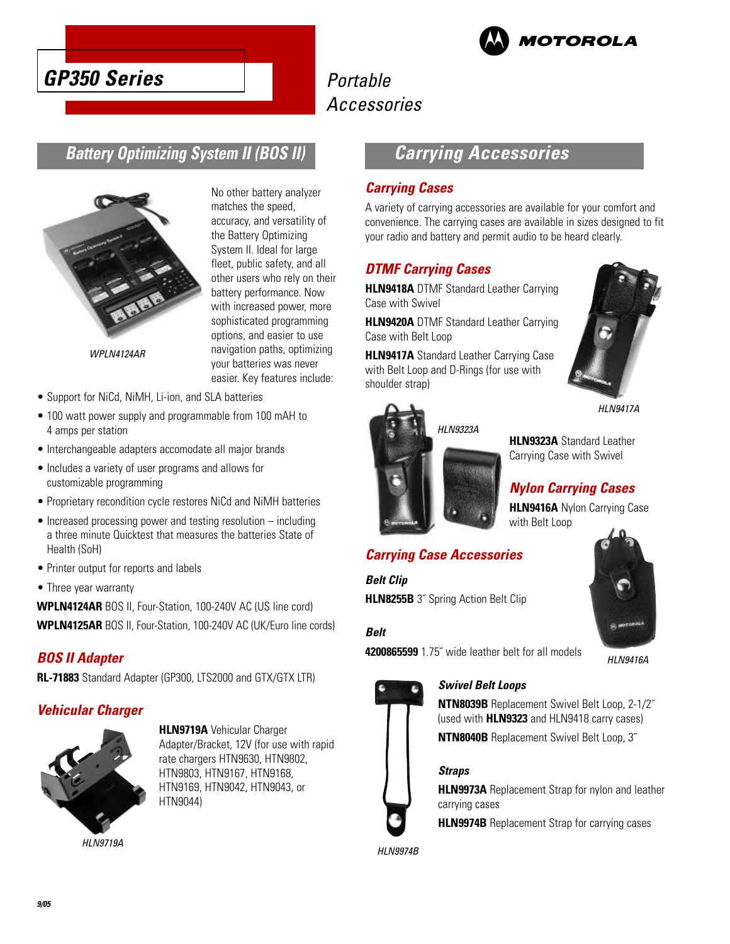



### **Battery Optimizing System II (BOS II)**



No other battery analyzer matches the speed, accuracy, and versatility of the Battery Optimizing System II. Ideal for large fleet, public safety, and all other users who rely on their battery performance. Now with increased power, more sophisticated programming options, and easier to use navigation paths, optimizing your batteries was never easier. Key features include:

WPLN4124AR

- Support for NiCd, NiMH, Li-ion, and SLA batteries
- 100 watt power supply and programmable from 100 mAH to 4 amps per station
- Interchangeable adapters accomodate all major brands
- Includes a variety of user programs and allows for customizable programming
- Proprietary recondition cycle restores NiCd and NiMH batteries
- Increased processing power and testing resolution including a three minute Quicktest that measures the batteries State of Health (SoH)
- Printer output for reports and labels
- Three year warranty

**WPLN4124AR** BOS II, Four-Station, 100-240V AC (US line cord) **WPLN4125AR** BOS II, Four-Station, 100-240V AC (UK/Euro line cords)

#### **BOS II Adapter**

**RL-71883** Standard Adapter (GP300, LTS2000 and GTX/GTX LTR)

#### **Vehicular Charger**



**HLN9719A** Vehicular Charger Adapter/Bracket, 12V (for use with rapid rate chargers HTN9630, HTN9802, HTN9803, HTN9167, HTN9168, HTN9169, HTN9042, HTN9043, or HTN9044)

HLN9719A

**Carrying Accessories**

#### **Carrying Cases**

A variety of carrying accessories are available for your comfort and convenience. The carrying cases are available in sizes designed to fit your radio and battery and permit audio to be heard clearly.

#### **DTMF Carrying Cases**

**HLN9418A** DTMF Standard Leather Carrying Case with Swivel

**HLN9420A** DTMF Standard Leather Carrying Case with Belt Loop

**HLN9417A** Standard Leather Carrying Case with Belt Loop and D-Rings (for use with shoulder strap)



HI N9323A

### HLN9417A

**HLN9323A** Standard Leather Carrying Case with Swivel

#### **Nylon Carrying Cases**

**HLN9416A** Nylon Carrying Case with Belt Loop

#### **Carrying Case Accessories**

**Belt Clip HLN8255B** 3˝ Spring Action Belt Clip



**4200865599** 1.75˝ wide leather belt for all models



#### **Swivel Belt Loops**

**NTN8039B** Replacement Swivel Belt Loop, 2-1/2˝ (used with **HLN9323** and HLN9418 carry cases)

**NTN8040B** Replacement Swivel Belt Loop, 3˝

#### **Straps**

**HLN9973A** Replacement Strap for nylon and leather carrying cases

**HLN9974B** Replacement Strap for carrying cases

**HI N9974B** 

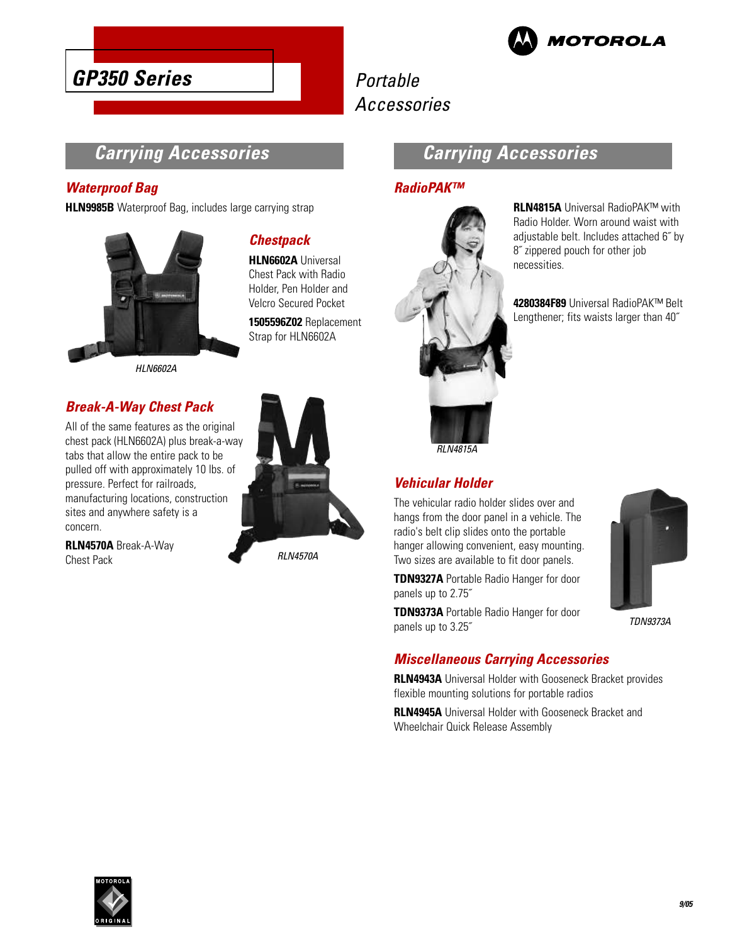

## **Carrying Accessories**

#### **Waterproof Bag**

**GP350 Series**

**HLN9985B** Waterproof Bag, includes large carrying strap



HLN6602A

#### **Break-A-Way Chest Pack**

All of the same features as the original chest pack (HLN6602A) plus break-a-way tabs that allow the entire pack to be pulled off with approximately 10 lbs. of pressure. Perfect for railroads, manufacturing locations, construction sites and anywhere safety is a concern.

**RLN4570A** Break-A-Way Chest Pack



**Chestpack**

**HLN6602A** Universal Chest Pack with Radio Holder, Pen Holder and Velcro Secured Pocket **1505596Z02** Replacement Strap for HLN6602A

RLN4570A

### **Carrying Accessories**

#### **RadioPAK™**



**RLN4815A** Universal RadioPAK™ with Radio Holder. Worn around waist with adjustable belt. Includes attached 6˝ by 8˝ zippered pouch for other job necessities.

**4280384F89** Universal RadioPAK™ Belt Lengthener; fits waists larger than 40˝

#### **Vehicular Holder**

The vehicular radio holder slides over and hangs from the door panel in a vehicle. The radio's belt clip slides onto the portable hanger allowing convenient, easy mounting. Two sizes are available to fit door panels.

**TDN9327A** Portable Radio Hanger for door panels up to 2.75˝

**TDN9373A** Portable Radio Hanger for door panels up to 3.25˝



TDN9373A

#### **Miscellaneous Carrying Accessories**

**RLN4943A** Universal Holder with Gooseneck Bracket provides flexible mounting solutions for portable radios

**RLN4945A** Universal Holder with Gooseneck Bracket and Wheelchair Quick Release Assembly

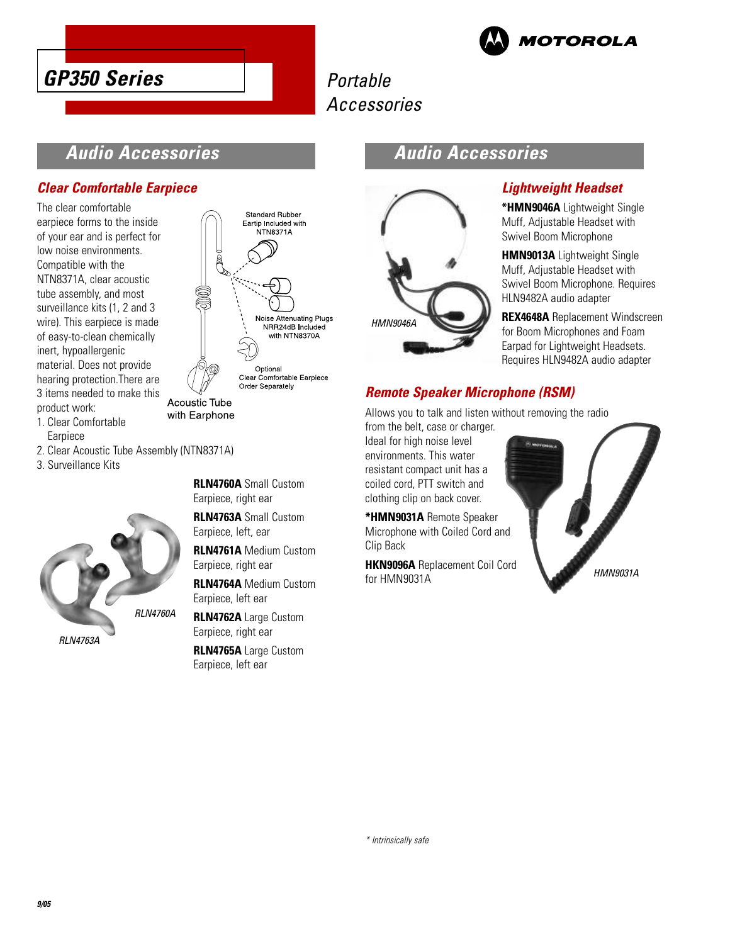



### **Audio Accessories**

#### **Clear Comfortable Earpiece**

The clear comfortable earpiece forms to the inside of your ear and is perfect for low noise environments. Compatible with the NTN8371A, clear acoustic tube assembly, and most surveillance kits (1, 2 and 3 wire). This earpiece is made of easy-to-clean chemically inert, hypoallergenic material. Does not provide hearing protection.There are 3 items needed to make this product work:



**Acoustic Tube** with Earphone

- 1. Clear Comfortable Earpiece
- 2. Clear Acoustic Tube Assembly (NTN8371A)
- 3. Surveillance Kits



**RLN4760A** Small Custom Earpiece, right ear

**RLN4763A** Small Custom Earpiece, left, ear

**RLN4761A** Medium Custom Earpiece, right ear

**RLN4764A** Medium Custom Earpiece, left ear

**RLN4762A** Large Custom Earpiece, right ear

**RLN4765A** Large Custom Earpiece, left ear

### **Audio Accessories**



#### **Lightweight Headset**

**\*HMN9046A** Lightweight Single Muff, Adjustable Headset with Swivel Boom Microphone

**HMN9013A** Lightweight Single Muff, Adjustable Headset with Swivel Boom Microphone. Requires HLN9482A audio adapter

**REX4648A** Replacement Windscreen for Boom Microphones and Foam Earpad for Lightweight Headsets. Requires HLN9482A audio adapter

### **Remote Speaker Microphone (RSM)**

Allows you to talk and listen without removing the radio from the belt, case or charger.

Ideal for high noise level environments. This water resistant compact unit has a coiled cord, PTT switch and clothing clip on back cover.

**\*HMN9031A** Remote Speaker Microphone with Coiled Cord and Clip Back

**HKN9096A** Replacement Coil Cord for HMN9031A

HMN9031A

\* Intrinsically safe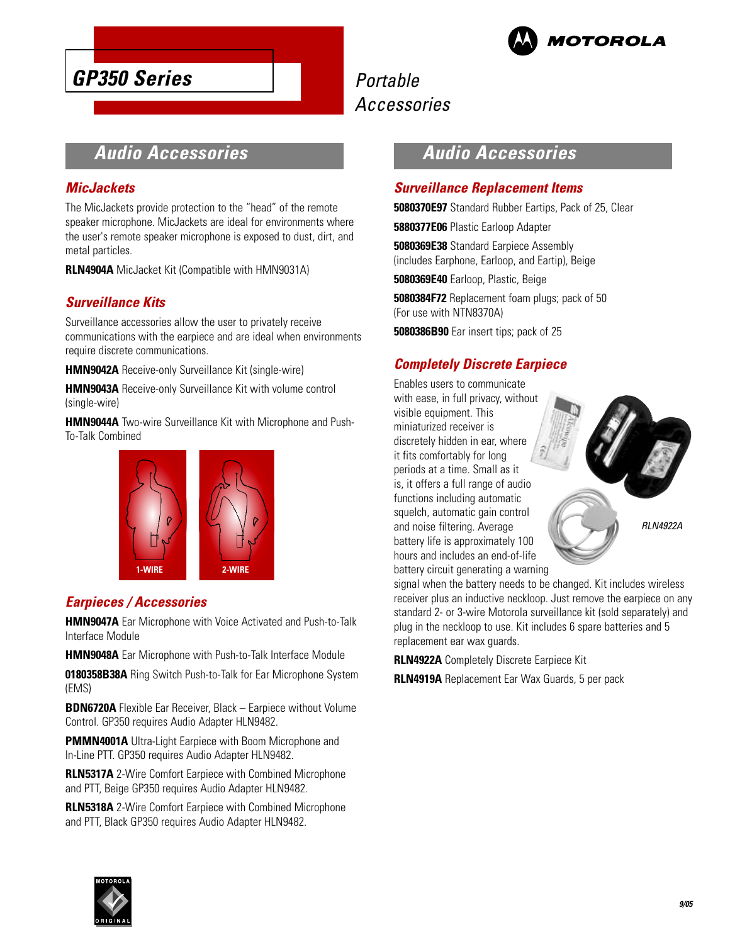

# **GP350 Series**

# Portable Accessories

# **Audio Accessories**

#### **MicJackets**

The MicJackets provide protection to the "head" of the remote speaker microphone. MicJackets are ideal for environments where the user's remote speaker microphone is exposed to dust, dirt, and metal particles.

**RLN4904A** MicJacket Kit (Compatible with HMN9031A)

#### **Surveillance Kits**

Surveillance accessories allow the user to privately receive communications with the earpiece and are ideal when environments require discrete communications.

**HMN9042A** Receive-only Surveillance Kit (single-wire)

**HMN9043A** Receive-only Surveillance Kit with volume control (single-wire)

**HMN9044A** Two-wire Surveillance Kit with Microphone and Push-To-Talk Combined



#### **Earpieces / Accessories**

**HMN9047A** Ear Microphone with Voice Activated and Push-to-Talk Interface Module

**HMN9048A** Ear Microphone with Push-to-Talk Interface Module

**0180358B38A** Ring Switch Push-to-Talk for Ear Microphone System (EMS)

**BDN6720A** Flexible Ear Receiver, Black – Earpiece without Volume Control. GP350 requires Audio Adapter HLN9482.

**PMMN4001A** Ultra-Light Earpiece with Boom Microphone and In-Line PTT. GP350 requires Audio Adapter HLN9482.

**RLN5317A** 2-Wire Comfort Earpiece with Combined Microphone and PTT, Beige GP350 requires Audio Adapter HLN9482.

**RLN5318A** 2-Wire Comfort Earpiece with Combined Microphone and PTT, Black GP350 requires Audio Adapter HLN9482.

# **Audio Accessories**

#### **Surveillance Replacement Items**

**5080370E97** Standard Rubber Eartips, Pack of 25, Clear

**5880377E06** Plastic Earloop Adapter

**5080369E38** Standard Earpiece Assembly (includes Earphone, Earloop, and Eartip), Beige

**5080369E40** Earloop, Plastic, Beige

**5080384F72** Replacement foam plugs; pack of 50 (For use with NTN8370A)

**5080386B90** Ear insert tips; pack of 25

#### **Completely Discrete Earpiece**

Enables users to communicate with ease, in full privacy, without visible equipment. This miniaturized receiver is discretely hidden in ear, where it fits comfortably for long periods at a time. Small as it is, it offers a full range of audio functions including automatic squelch, automatic gain control and noise filtering. Average battery life is approximately 100 hours and includes an end-of-life battery circuit generating a warning



signal when the battery needs to be changed. Kit includes wireless receiver plus an inductive neckloop. Just remove the earpiece on any standard 2- or 3-wire Motorola surveillance kit (sold separately) and plug in the neckloop to use. Kit includes 6 spare batteries and 5 replacement ear wax guards.

**RLN4922A** Completely Discrete Earpiece Kit

**RLN4919A** Replacement Ear Wax Guards, 5 per pack

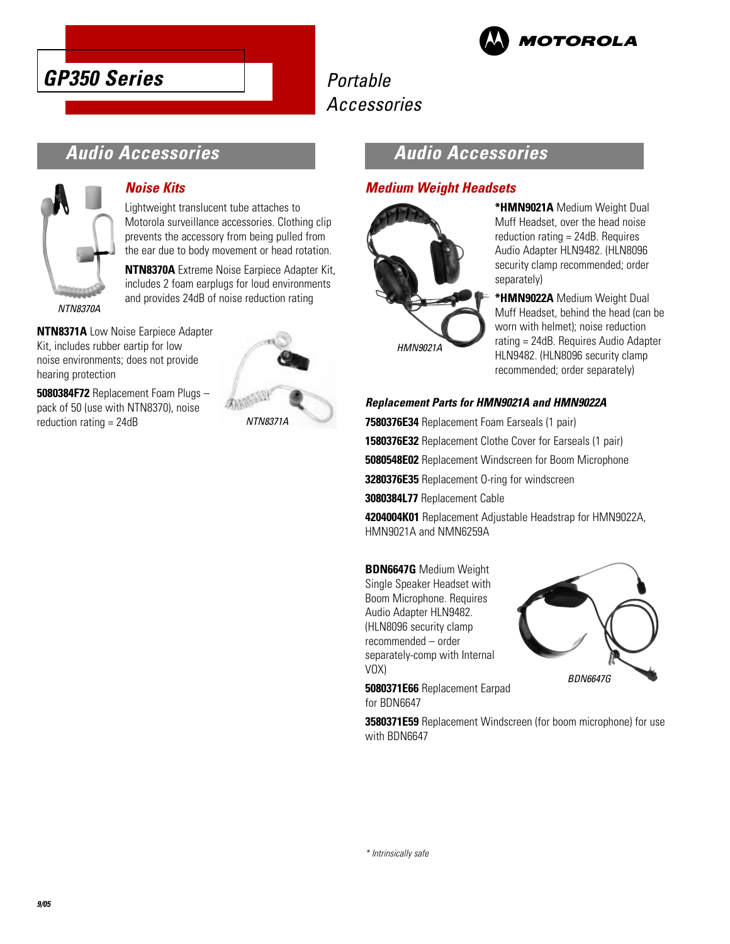



# **Audio Accessories**



#### **Noise Kits**

Lightweight translucent tube attaches to Motorola surveillance accessories. Clothing clip prevents the accessory from being pulled from the ear due to body movement or head rotation.

**NTN8370A** Extreme Noise Earpiece Adapter Kit, includes 2 foam earplugs for loud environments and provides 24dB of noise reduction rating

**NTN8371A** Low Noise Earpiece Adapter Kit, includes rubber eartip for low noise environments; does not provide hearing protection

**5080384F72** Replacement Foam Plugs – pack of 50 (use with NTN8370), noise reduction rating = 24dB



# **Audio Accessories**

#### **Medium Weight Headsets**



**\*HMN9021A** Medium Weight Dual Muff Headset, over the head noise reduction rating = 24dB. Requires Audio Adapter HLN9482. (HLN8096 security clamp recommended; order separately)

**\*HMN9022A** Medium Weight Dual Muff Headset, behind the head (can be worn with helmet); noise reduction rating = 24dB. Requires Audio Adapter HLN9482. (HLN8096 security clamp recommended; order separately)

#### **Replacement Parts for HMN9021A and HMN9022A**

**7580376E34** Replacement Foam Earseals (1 pair) **1580376E32** Replacement Clothe Cover for Earseals (1 pair) **5080548E02** Replacement Windscreen for Boom Microphone **3280376E35** Replacement O-ring for windscreen **3080384L77** Replacement Cable

**4204004K01** Replacement Adjustable Headstrap for HMN9022A, HMN9021A and NMN6259A

**BDN6647G** Medium Weight Single Speaker Headset with Boom Microphone. Requires Audio Adapter HLN9482. (HLN8096 security clamp recommended – order separately-comp with Internal VOX)



**5080371E66** Replacement Earpad for BDN6647

**3580371E59** Replacement Windscreen (for boom microphone) for use with BDN6647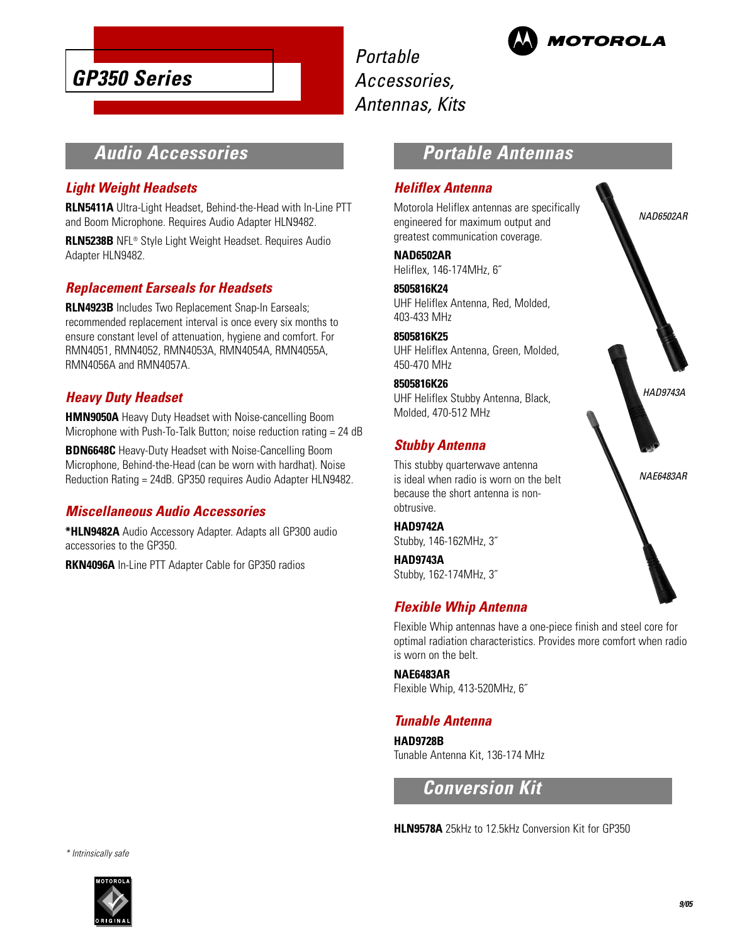

Portable Accessories, Antennas, Kits



# **Audio Accessories**

#### **Light Weight Headsets**

**RLN5411A** Ultra-Light Headset, Behind-the-Head with In-Line PTT and Boom Microphone. Requires Audio Adapter HLN9482.

**RLN5238B** NFL® Style Light Weight Headset. Requires Audio Adapter HLN9482.

#### **Replacement Earseals for Headsets**

**RLN4923B** Includes Two Replacement Snap-In Earseals; recommended replacement interval is once every six months to ensure constant level of attenuation, hygiene and comfort. For RMN4051, RMN4052, RMN4053A, RMN4054A, RMN4055A, RMN4056A and RMN4057A.

#### **Heavy Duty Headset**

**HMN9050A** Heavy Duty Headset with Noise-cancelling Boom Microphone with Push-To-Talk Button; noise reduction rating = 24 dB

**BDN6648C** Heavy-Duty Headset with Noise-Cancelling Boom Microphone, Behind-the-Head (can be worn with hardhat). Noise Reduction Rating = 24dB. GP350 requires Audio Adapter HLN9482.

#### **Miscellaneous Audio Accessories**

**\*HLN9482A** Audio Accessory Adapter. Adapts all GP300 audio accessories to the GP350.

**RKN4096A** In-Line PTT Adapter Cable for GP350 radios

### **Portable Antennas**

#### **Heliflex Antenna**

Motorola Heliflex antennas are specifically engineered for maximum output and greatest communication coverage.

**NAD6502AR** Heliflex, 146-174MHz, 6˝

#### **8505816K24** UHF Heliflex Antenna, Red, Molded,

403-433 MHz **8505816K25**

UHF Heliflex Antenna, Green, Molded, 450-470 MHz

# **8505816K26**

UHF Heliflex Stubby Antenna, Black, Molded, 470-512 MHz

#### **Stubby Antenna**

This stubby quarterwave antenna is ideal when radio is worn on the belt because the short antenna is nonobtrusive.

**HAD9742A** Stubby, 146-162MHz, 3˝

**HAD9743A** Stubby, 162-174MHz, 3˝

#### **Flexible Whip Antenna**

Flexible Whip antennas have a one-piece finish and steel core for optimal radiation characteristics. Provides more comfort when radio is worn on the belt.

**NAE6483AR** Flexible Whip, 413-520MHz, 6˝

#### **Tunable Antenna**

**HAD9728B** Tunable Antenna Kit, 136-174 MHz

### **Conversion Kit**

**HLN9578A** 25kHz to 12.5kHz Conversion Kit for GP350



NAD6502AR

\* Intrinsically safe

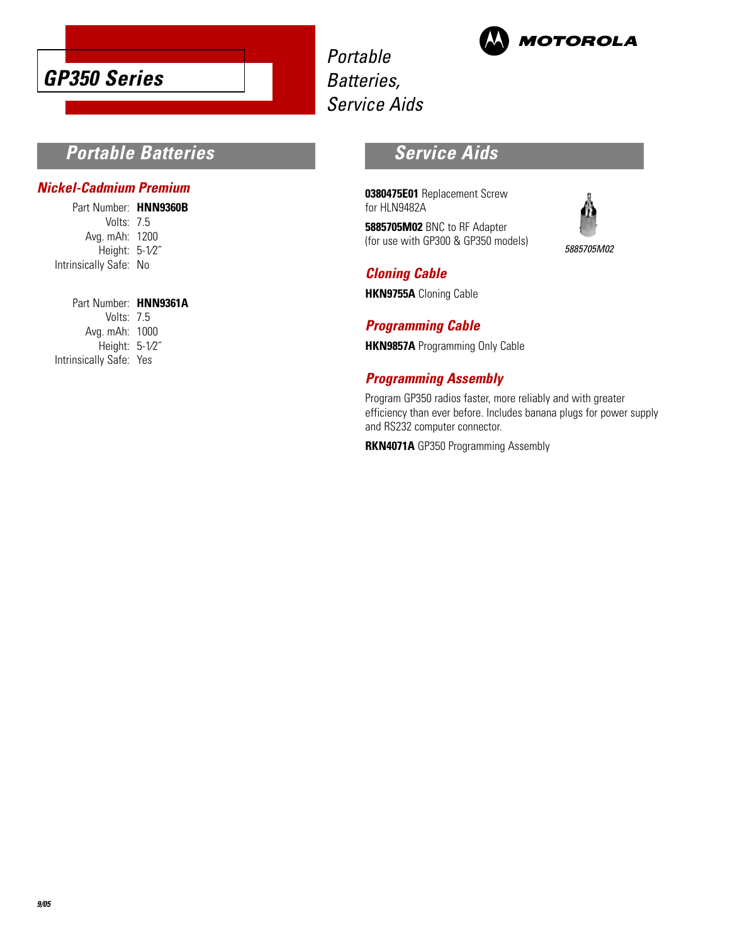

Portable Batteries, Service Aids



# **Service Aids**

**0380475E01** Replacement Screw for HLN9482A

**5885705M02** BNC to RF Adapter (for use with GP300 & GP350 models)



#### **Cloning Cable**

**HKN9755A** Cloning Cable

#### **Programming Cable**

**HKN9857A** Programming Only Cable

#### **Programming Assembly**

Program GP350 radios faster, more reliably and with greater efficiency than ever before. Includes banana plugs for power supply and RS232 computer connector.

**RKN4071A** GP350 Programming Assembly

### **Portable Batteries**

#### **Nickel-Cadmium Premium**

Part Number: **HNN9360B** Volts: 7.5 Avg. mAh: 1200 Height: 5-1⁄2˝ Intrinsically Safe: No

Part Number: **HNN9361A** Volts: 7.5 Avg. mAh: 1000 Height: 5-1⁄2˝ Intrinsically Safe: Yes